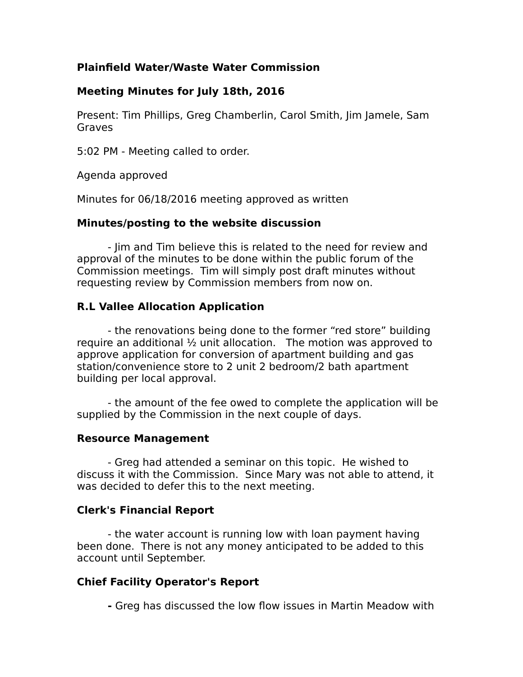## **Plainfield Water/Waste Water Commission**

### **Meeting Minutes for July 18th, 2016**

Present: Tim Phillips, Greg Chamberlin, Carol Smith, Jim Jamele, Sam Graves

5:02 PM - Meeting called to order.

Agenda approved

Minutes for 06/18/2016 meeting approved as written

#### **Minutes/posting to the website discussion**

- Jim and Tim believe this is related to the need for review and approval of the minutes to be done within the public forum of the Commission meetings. Tim will simply post draft minutes without requesting review by Commission members from now on.

### **R.L Vallee Allocation Application**

- the renovations being done to the former "red store" building require an additional ½ unit allocation. The motion was approved to approve application for conversion of apartment building and gas station/convenience store to 2 unit 2 bedroom/2 bath apartment building per local approval.

- the amount of the fee owed to complete the application will be supplied by the Commission in the next couple of days.

#### **Resource Management**

- Greg had attended a seminar on this topic. He wished to discuss it with the Commission. Since Mary was not able to attend, it was decided to defer this to the next meeting.

### **Clerk's Financial Report**

- the water account is running low with loan payment having been done. There is not any money anticipated to be added to this account until September.

### **Chief Facility Operator's Report**

**-** Greg has discussed the low flow issues in Martin Meadow with